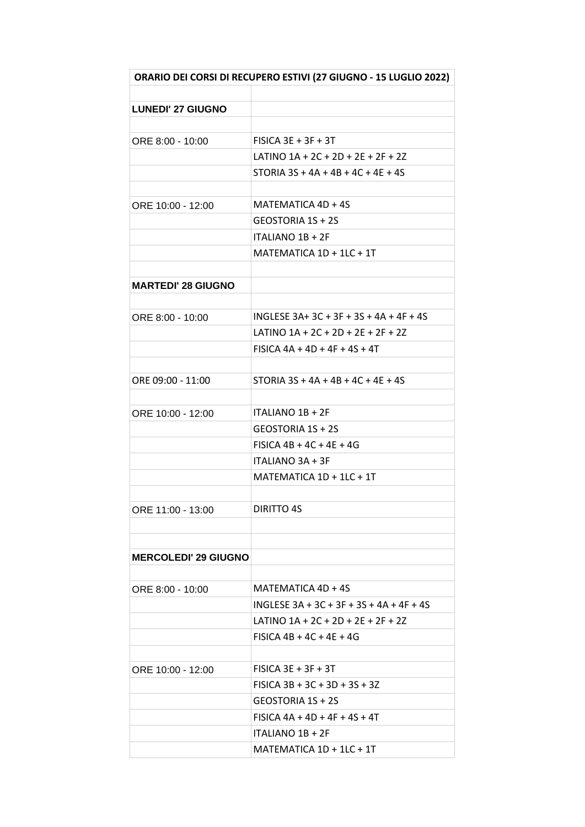| ORARIO DEI CORSI DI RECUPERO ESTIVI (27 GIUGNO - 15 LUGLIO 2022) |                                              |  |
|------------------------------------------------------------------|----------------------------------------------|--|
|                                                                  |                                              |  |
| <b>LUNEDI' 27 GIUGNO</b>                                         |                                              |  |
|                                                                  |                                              |  |
| ORE 8:00 - 10:00                                                 | $FISICA 3E + 3F + 3T$                        |  |
|                                                                  | LATINO $1A + 2C + 2D + 2E + 2F + 2Z$         |  |
|                                                                  | STORIA 3S + 4A + 4B + 4C + 4E + 4S           |  |
|                                                                  |                                              |  |
| ORE 10:00 - 12:00                                                | MATEMATICA 4D + 4S                           |  |
|                                                                  | GEOSTORIA 1S + 2S                            |  |
|                                                                  | ITALIANO 1B + 2F                             |  |
|                                                                  | MATEMATICA 1D + 1LC + 1T                     |  |
|                                                                  |                                              |  |
| <b>MARTEDI' 28 GIUGNO</b>                                        |                                              |  |
|                                                                  |                                              |  |
| ORE 8:00 - 10:00                                                 | INGLESE $3A + 3C + 3F + 3S + 4A + 4F + 4S$   |  |
|                                                                  | LATINO 1A + 2C + 2D + 2E + 2F + 2Z           |  |
|                                                                  | $FISICA 4A + 4D + 4F + 4S + 4T$              |  |
|                                                                  |                                              |  |
| ORE 09:00 - 11:00                                                | STORIA $3S + 4A + 4B + 4C + 4E + 4S$         |  |
|                                                                  |                                              |  |
| ORE 10:00 - 12:00                                                | <b>ITALIANO 1B + 2F</b>                      |  |
|                                                                  | GEOSTORIA 1S + 2S                            |  |
|                                                                  | FISICA 4B + 4C + 4E + 4G                     |  |
|                                                                  | ITALIANO 3A + 3F<br>MATEMATICA 1D + 1LC + 1T |  |
|                                                                  |                                              |  |
| ORE 11:00 - 13:00                                                | DIRITTO 4S                                   |  |
|                                                                  |                                              |  |
|                                                                  |                                              |  |
| <b>MERCOLEDI' 29 GIUGNO</b>                                      |                                              |  |
|                                                                  |                                              |  |
| ORE 8:00 - 10:00                                                 | MATEMATICA 4D + 4S                           |  |
|                                                                  | INGLESE $3A + 3C + 3F + 3S + 4A + 4F + 4S$   |  |
|                                                                  | LATINO 1A + 2C + 2D + 2E + 2F + 2Z           |  |
|                                                                  | FISICA $4B + 4C + 4E + 4G$                   |  |
|                                                                  |                                              |  |
| ORE 10:00 - 12:00                                                | $FISICA 3E + 3F + 3T$                        |  |
|                                                                  | $FISICA 3B + 3C + 3D + 3S + 3Z$              |  |
|                                                                  | GEOSTORIA 1S + 2S                            |  |
|                                                                  | $FISICA 4A + 4D + 4F + 4S + 4T$              |  |
|                                                                  | ITALIANO 1B + 2F                             |  |
|                                                                  | MATEMATICA 1D + 1LC + 1T                     |  |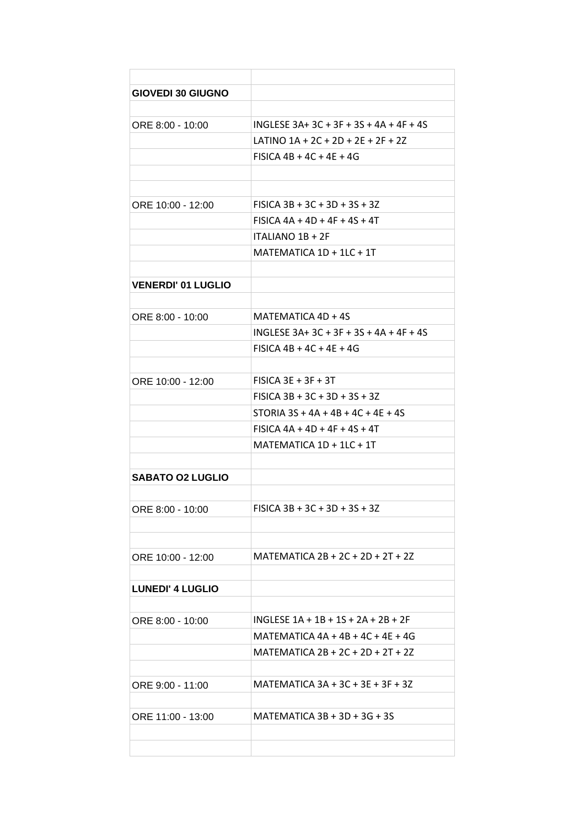| <b>GIOVEDI 30 GIUGNO</b>  |                                         |
|---------------------------|-----------------------------------------|
|                           |                                         |
| ORE 8:00 - 10:00          | INGLESE $3A+3C+3F+3S+4A+4F+4S$          |
|                           | LATINO 1A + 2C + 2D + 2E + 2F + 2Z      |
|                           | FISICA $4B + 4C + 4E + 4G$              |
|                           |                                         |
|                           |                                         |
| ORE 10:00 - 12:00         | $FISICA 3B + 3C + 3D + 3S + 3Z$         |
|                           | FISICA $4A + 4D + 4F + 4S + 4T$         |
|                           | ITALIANO 1B + 2F                        |
|                           | MATEMATICA $1D + 1LC + 1T$              |
|                           |                                         |
| <b>VENERDI' 01 LUGLIO</b> |                                         |
|                           |                                         |
| ORE 8:00 - 10:00          | MATEMATICA 4D + 4S                      |
|                           | INGLESE 3A+ 3C + 3F + 3S + 4A + 4F + 4S |
|                           | FISICA $4B + 4C + 4E + 4G$              |
|                           |                                         |
| ORE 10:00 - 12:00         | $FISICA 3E + 3F + 3T$                   |
|                           | $FISICA 3B + 3C + 3D + 3S + 3Z$         |
|                           | STORIA $3S + 4A + 4B + 4C + 4E + 4S$    |
|                           | $FISICA 4A + 4D + 4F + 4S + 4T$         |
|                           | MATEMATICA 1D + 1LC + 1T                |
|                           |                                         |
| <b>SABATO O2 LUGLIO</b>   |                                         |
|                           |                                         |
| ORE 8:00 - 10:00          | $FISICA 3B + 3C + 3D + 3S + 3Z$         |
|                           |                                         |
|                           |                                         |
| ORE 10:00 - 12:00         | MATEMATICA 2B + 2C + 2D + 2T + 2Z       |
|                           |                                         |
| <b>LUNEDI' 4 LUGLIO</b>   |                                         |
|                           |                                         |
| ORE 8:00 - 10:00          | $INGIESE 1A + 1B + 1S + 2A + 2B + 2F$   |
|                           | MATEMATICA $4A + 4B + 4C + 4E + 4G$     |
|                           | MATEMATICA 2B + 2C + 2D + 2T + 2Z       |
|                           |                                         |
| ORE 9:00 - 11:00          | MATEMATICA 3A + 3C + 3E + 3F + 3Z       |
|                           |                                         |
| ORE 11:00 - 13:00         | MATEMATICA 3B + 3D + 3G + 3S            |
|                           |                                         |
|                           |                                         |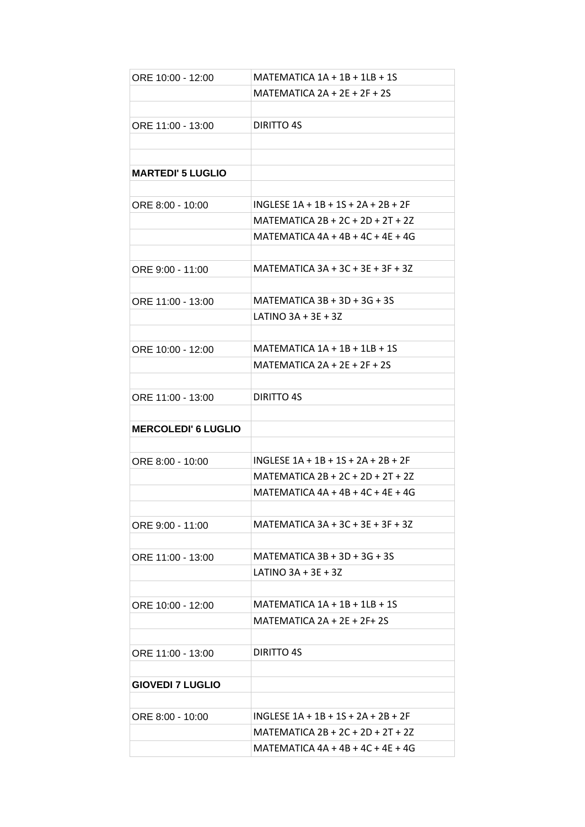| ORE 10:00 - 12:00          | MATEMATICA $1A + 1B + 1LB + 1S$       |
|----------------------------|---------------------------------------|
|                            | MATEMATICA $2A + 2E + 2F + 2S$        |
|                            |                                       |
| ORE 11:00 - 13:00          | DIRITTO 4S                            |
|                            |                                       |
|                            |                                       |
| <b>MARTEDI'S LUGLIO</b>    |                                       |
|                            |                                       |
| ORE 8:00 - 10:00           | $INGLESE 1A + 1B + 1S + 2A + 2B + 2F$ |
|                            | MATEMATICA 2B + 2C + 2D + 2T + 2Z     |
|                            | MATEMATICA $4A + 4B + 4C + 4E + 4G$   |
|                            |                                       |
| ORE 9:00 - 11:00           | MATEMATICA $3A + 3C + 3E + 3F + 3Z$   |
|                            |                                       |
| ORE 11:00 - 13:00          | MATEMATICA $3B + 3D + 3G + 3S$        |
|                            | LATINO $3A + 3F + 3Z$                 |
|                            |                                       |
| ORE 10:00 - 12:00          | MATEMATICA $1A + 1B + 1LB + 1S$       |
|                            | MATEMATICA $2A + 2E + 2F + 2S$        |
|                            |                                       |
| ORE 11:00 - 13:00          | DIRITTO 4S                            |
|                            |                                       |
| <b>MERCOLEDI' 6 LUGLIO</b> |                                       |
|                            |                                       |
| ORE 8:00 - 10:00           | $INGLESE 1A + 1B + 1S + 2A + 2B + 2F$ |
|                            | MATEMATICA $2B + 2C + 2D + 2T + 2Z$   |
|                            | MATEMATICA $4A + 4B + 4C + 4E + 4G$   |
|                            |                                       |
| ORE 9:00 - 11:00           | MATEMATICA 3A + 3C + 3E + 3F + 3Z     |
|                            |                                       |
| ORE 11:00 - 13:00          | MATEMATICA $3B + 3D + 3G + 3S$        |
|                            | LATINO $3A + 3E + 3Z$                 |
|                            |                                       |
| ORE 10:00 - 12:00          | MATEMATICA $1A + 1B + 1LB + 1S$       |
|                            | MATEMATICA 2A + 2E + 2F+ 2S           |
|                            |                                       |
|                            |                                       |
| ORE 11:00 - 13:00          | <b>DIRITTO 4S</b>                     |
|                            |                                       |
| <b>GIOVEDI 7 LUGLIO</b>    |                                       |
|                            |                                       |
| ORE 8:00 - 10:00           | $INGLESE 1A + 1B + 1S + 2A + 2B + 2F$ |
|                            | MATEMATICA 2B + 2C + 2D + 2T + 2Z     |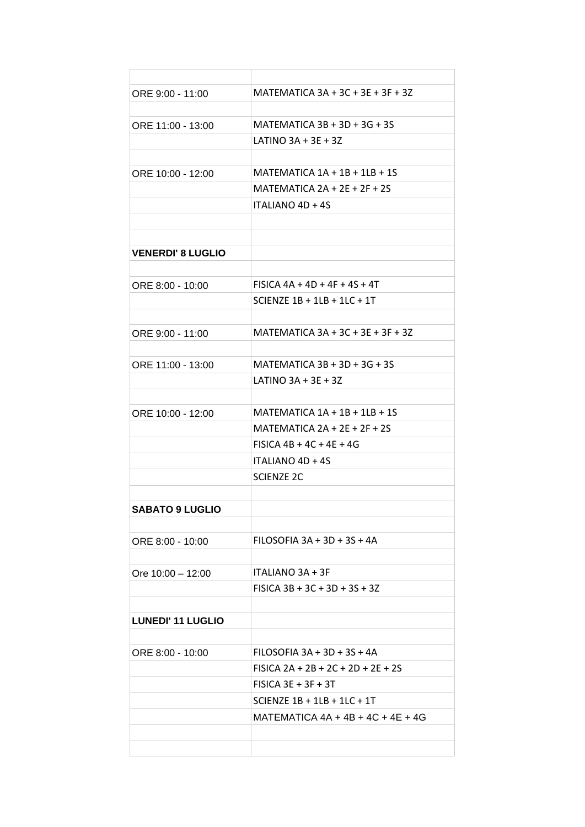| ORE 9:00 - 11:00         | MATEMATICA $3A + 3C + 3E + 3F + 3Z$  |
|--------------------------|--------------------------------------|
|                          |                                      |
| ORE 11:00 - 13:00        | MATEMATICA $3B + 3D + 3G + 3S$       |
|                          | LATINO $3A + 3E + 3Z$                |
|                          |                                      |
| ORE 10:00 - 12:00        | MATEMATICA $1A + 1B + 1LB + 1S$      |
|                          | MATEMATICA $2A + 2E + 2F + 2S$       |
|                          | ITALIANO 4D + 4S                     |
|                          |                                      |
|                          |                                      |
| <b>VENERDI'S LUGLIO</b>  |                                      |
|                          |                                      |
| ORE 8:00 - 10:00         | FISICA $4A + 4D + 4F + 4S + 4T$      |
|                          | SCIENZE $1B + 1LB + 1LC + 1T$        |
|                          |                                      |
| ORE 9:00 - 11:00         | MATEMATICA $3A + 3C + 3E + 3F + 3Z$  |
|                          |                                      |
| ORE 11:00 - 13:00        | MATEMATICA $3B + 3D + 3G + 3S$       |
|                          | LATINO $3A + 3E + 3Z$                |
|                          |                                      |
| ORE 10:00 - 12:00        | MATEMATICA 1A + 1B + 1LB + 1S        |
|                          | MATEMATICA $2A + 2E + 2F + 2S$       |
|                          | FISICA $4B + 4C + 4E + 4G$           |
|                          | ITALIANO 4D + 4S                     |
|                          | <b>SCIENZE 2C</b>                    |
|                          |                                      |
| <b>SABATO 9 LUGLIO</b>   |                                      |
|                          |                                      |
| ORE 8:00 - 10:00         | FILOSOFIA $3A + 3D + 3S + 4A$        |
|                          |                                      |
| Ore 10:00 - 12:00        | ITALIANO 3A + 3F                     |
|                          | $FISICA 3B + 3C + 3D + 3S + 3Z$      |
|                          |                                      |
| <b>LUNEDI' 11 LUGLIO</b> |                                      |
|                          |                                      |
| ORE 8:00 - 10:00         | FILOSOFIA $3A + 3D + 3S + 4A$        |
|                          | FISICA $2A + 2B + 2C + 2D + 2E + 2S$ |
|                          | $FISICA 3E + 3F + 3T$                |
|                          | SCIENZE $1B + 1LB + 1LC + 1T$        |
|                          | MATEMATICA $4A + 4B + 4C + 4E + 4G$  |
|                          |                                      |
|                          |                                      |